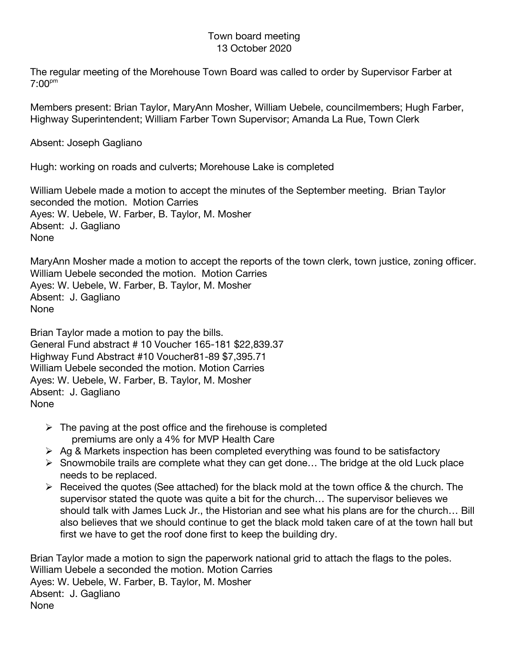## Town board meeting 13 October 2020

The regular meeting of the Morehouse Town Board was called to order by Supervisor Farber at  $7:00^{pm}$ 

Members present: Brian Taylor, MaryAnn Mosher, William Uebele, councilmembers; Hugh Farber, Highway Superintendent; William Farber Town Supervisor; Amanda La Rue, Town Clerk

Absent: Joseph Gagliano

Hugh: working on roads and culverts; Morehouse Lake is completed

William Uebele made a motion to accept the minutes of the September meeting. Brian Taylor seconded the motion. Motion Carries Ayes: W. Uebele, W. Farber, B. Taylor, M. Mosher Absent: J. Gagliano None

MaryAnn Mosher made a motion to accept the reports of the town clerk, town justice, zoning officer. William Uebele seconded the motion. Motion Carries Ayes: W. Uebele, W. Farber, B. Taylor, M. Mosher Absent: J. Gagliano None

Brian Taylor made a motion to pay the bills. General Fund abstract # 10 Voucher 165-181 \$22,839.37 Highway Fund Abstract #10 Voucher81-89 \$7,395.71 William Uebele seconded the motion. Motion Carries Ayes: W. Uebele, W. Farber, B. Taylor, M. Mosher Absent: J. Gagliano None

- $\triangleright$  The paving at the post office and the firehouse is completed premiums are only a 4% for MVP Health Care
- $\triangleright$  Ag & Markets inspection has been completed everything was found to be satisfactory
- $\triangleright$  Snowmobile trails are complete what they can get done... The bridge at the old Luck place needs to be replaced.
- $\triangleright$  Received the quotes (See attached) for the black mold at the town office & the church. The supervisor stated the quote was quite a bit for the church… The supervisor believes we should talk with James Luck Jr., the Historian and see what his plans are for the church… Bill also believes that we should continue to get the black mold taken care of at the town hall but first we have to get the roof done first to keep the building dry.

Brian Taylor made a motion to sign the paperwork national grid to attach the flags to the poles. William Uebele a seconded the motion. Motion Carries Ayes: W. Uebele, W. Farber, B. Taylor, M. Mosher Absent: J. Gagliano None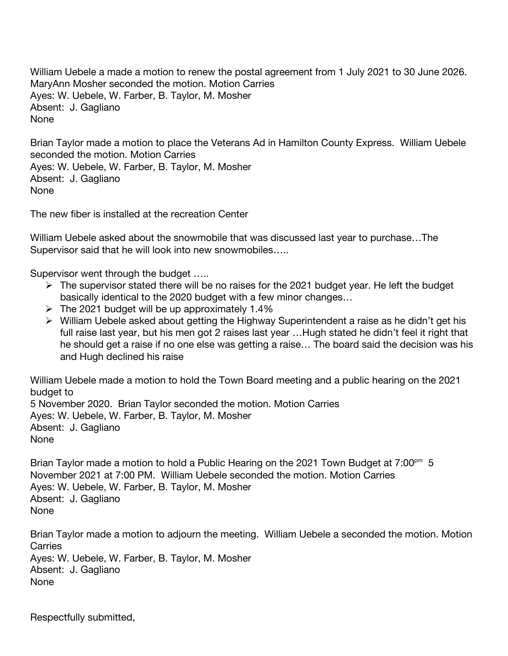William Uebele a made a motion to renew the postal agreement from 1 July 2021 to 30 June 2026. MaryAnn Mosher seconded the motion. Motion Carries Ayes: W. Uebele, W. Farber, B. Taylor, M. Mosher Absent: J. Gagliano None

Brian Taylor made a motion to place the Veterans Ad in Hamilton County Express. William Uebele seconded the motion. Motion Carries Ayes: W. Uebele, W. Farber, B. Taylor, M. Mosher Absent: J. Gagliano None

The new fiber is installed at the recreation Center

William Uebele asked about the snowmobile that was discussed last year to purchase…The Supervisor said that he will look into new snowmobiles…..

Supervisor went through the budget …..

- $\triangleright$  The supervisor stated there will be no raises for the 2021 budget year. He left the budget basically identical to the 2020 budget with a few minor changes…
- $\triangleright$  The 2021 budget will be up approximately 1.4%
- $\triangleright$  William Uebele asked about getting the Highway Superintendent a raise as he didn't get his full raise last year, but his men got 2 raises last year …Hugh stated he didn't feel it right that he should get a raise if no one else was getting a raise… The board said the decision was his and Hugh declined his raise

William Uebele made a motion to hold the Town Board meeting and a public hearing on the 2021 budget to

5 November 2020. Brian Taylor seconded the motion. Motion Carries Ayes: W. Uebele, W. Farber, B. Taylor, M. Mosher Absent: J. Gagliano None

Brian Taylor made a motion to hold a Public Hearing on the 2021 Town Budget at  $7:00<sup>pm</sup> 5$ November 2021 at 7:00 PM. William Uebele seconded the motion. Motion Carries Ayes: W. Uebele, W. Farber, B. Taylor, M. Mosher Absent: J. Gagliano None

Brian Taylor made a motion to adjourn the meeting. William Uebele a seconded the motion. Motion **Carries** Ayes: W. Uebele, W. Farber, B. Taylor, M. Mosher Absent: J. Gagliano None

Respectfully submitted,